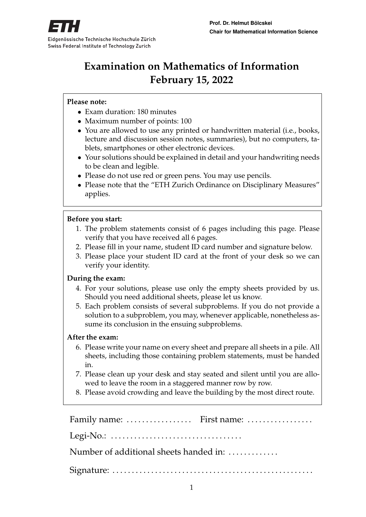

# **Examination on Mathematics of Information February 15, 2022**

#### **Please note:**

- Exam duration: 180 minutes
- Maximum number of points: 100
- You are allowed to use any printed or handwritten material (i.e., books, lecture and discussion session notes, summaries), but no computers, tablets, smartphones or other electronic devices.
- Your solutions should be explained in detail and your handwriting needs to be clean and legible.
- Please do not use red or green pens. You may use pencils.
- Please note that the "ETH Zurich Ordinance on Disciplinary Measures" applies.

#### **Before you start:**

- 1. The problem statements consist of 6 pages including this page. Please verify that you have received all 6 pages.
- 2. Please fill in your name, student ID card number and signature below.
- 3. Please place your student ID card at the front of your desk so we can verify your identity.

#### **During the exam:**

- 4. For your solutions, please use only the empty sheets provided by us. Should you need additional sheets, please let us know.
- 5. Each problem consists of several subproblems. If you do not provide a solution to a subproblem, you may, whenever applicable, nonetheless assume its conclusion in the ensuing subproblems.

#### **After the exam:**

- 6. Please write your name on every sheet and prepare all sheets in a pile. All sheets, including those containing problem statements, must be handed in.
- 7. Please clean up your desk and stay seated and silent until you are allowed to leave the room in a staggered manner row by row.
- 8. Please avoid crowding and leave the building by the most direct route.

Family name: ..................... First name: ................... Legi-No.: . . . . . . . . . . . . . . . . . . . . . . . . . . . . . . . . . . Number of additional sheets handed in: ............. Signature: . . . . . . . . . . . . . . . . . . . . . . . . . . . . . . . . . . . . . . . . . . . . . . . . . . . .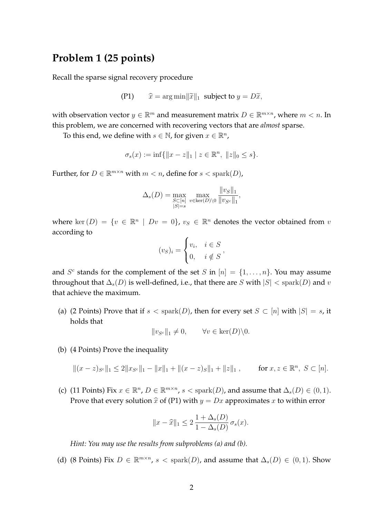# **Problem 1 (25 points)**

Recall the sparse signal recovery procedure

$$
(P1) \qquad \widehat{x} = \arg\min ||\widetilde{x}||_1 \text{ subject to } y = D\widetilde{x},
$$

with observation vector  $y \in \mathbb{R}^m$  and measurement matrix  $D \in \mathbb{R}^{m \times n}$ , where  $m < n$ . In this problem, we are concerned with recovering vectors that are *almost* sparse.

To this end, we define with  $s \in \mathbb{N}$ , for given  $x \in \mathbb{R}^n$ ,

$$
\sigma_s(x) := \inf \{ ||x - z||_1 \mid z \in \mathbb{R}^n, \ ||z||_0 \le s \}.
$$

Further, for  $D \in \mathbb{R}^{m \times n}$  with  $m < n$ , define for  $s <$  spark $(D)$ ,

$$
\Delta_s(D) = \max_{\substack{S \subset [n] \\ |S| = s}} \max_{v \in \text{ker}(D) \setminus 0} \frac{\|v_S\|_1}{\|v_{S^c}\|_1},
$$

where ker  $(D) = \{v \in \mathbb{R}^n \mid Dv = 0\}$ ,  $v_S \in \mathbb{R}^n$  denotes the vector obtained from v according to

$$
(v_S)_i = \begin{cases} v_i, & i \in S \\ 0, & i \notin S \end{cases},
$$

and  $S^c$  stands for the complement of the set S in  $[n] = \{1, \ldots, n\}$ . You may assume throughout that  $\Delta_s(D)$  is well-defined, i.e., that there are S with  $|S| <$  spark $(D)$  and v that achieve the maximum.

(a) (2 Points) Prove that if  $s <$  spark $(D)$ , then for every set  $S \subset [n]$  with  $|S| = s$ , it holds that

$$
||v_{S^c}||_1 \neq 0, \qquad \forall v \in \text{ker}(D) \backslash 0.
$$

(b) (4 Points) Prove the inequality

 $||(x-z)_{S^c}||_1 \leq 2||x_{S^c}||_1 - ||x||_1 + ||(x-z)_{S}||_1 + ||z||_1$ , for  $x, z \in \mathbb{R}^n$ ,  $S \subset [n]$ .

(c) (11 Points) Fix  $x \in \mathbb{R}^n$ ,  $D \in \mathbb{R}^{m \times n}$ ,  $s <$  spark $(D)$ , and assume that  $\Delta_s(D) \in (0,1)$ . Prove that every solution  $\hat{x}$  of (P1) with  $y = Dx$  approximates x to within error

$$
||x - \widehat{x}||_1 \le 2 \frac{1 + \Delta_s(D)}{1 - \Delta_s(D)} \sigma_s(x).
$$

*Hint: You may use the results from subproblems (a) and (b).*

(d) (8 Points) Fix  $D \in \mathbb{R}^{m \times n}$ ,  $s <$  spark $(D)$ , and assume that  $\Delta_s(D) \in (0,1)$ . Show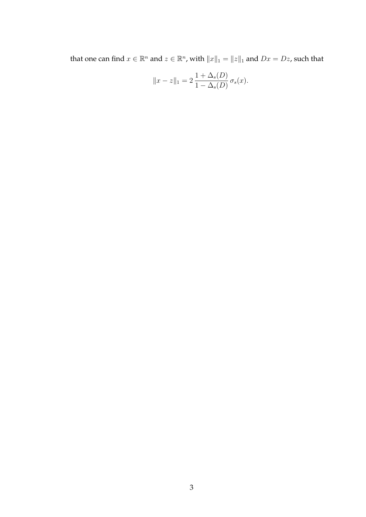that one can find  $x \in \mathbb{R}^n$  and  $z \in \mathbb{R}^n$ , with  $||x||_1 = ||z||_1$  and  $Dx = Dz$ , such that

$$
||x - z||_1 = 2 \frac{1 + \Delta_s(D)}{1 - \Delta_s(D)} \sigma_s(x).
$$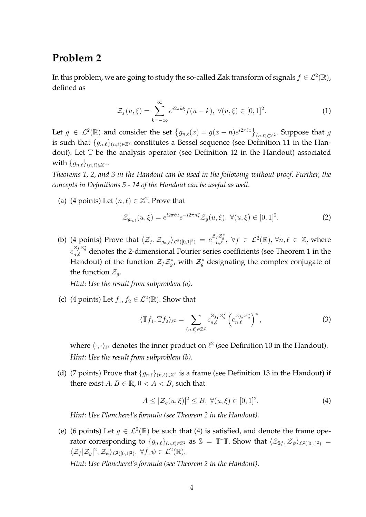# **Problem 2**

In this problem, we are going to study the so-called Zak transform of signals  $f \in \mathcal{L}^2(\mathbb{R})$ , defined as

$$
\mathcal{Z}_f(u,\xi) = \sum_{k=-\infty}^{\infty} e^{i2\pi k\xi} f(u-k), \ \forall (u,\xi) \in [0,1]^2.
$$
 (1)

Let  $g \in \mathcal{L}^2(\mathbb{R})$  and consider the set  $\left\{g_{n,\ell}(x) = g(x-n)e^{i2\pi \ell x}\right\}_{(n,\ell)\in\mathbb{Z}^2}$ . Suppose that  $g$ is such that  $\{g_{n,\ell}\}_{(n,\ell)\in\mathbb{Z}^2}$  constitutes a Bessel sequence (see Definition 11 in the Handout). Let T be the analysis operator (see Definition 12 in the Handout) associated with  $\{g_{n,\ell}\}_{(n,\ell)\in\mathbb{Z}^2}$ .

*Theorems 1, 2, and 3 in the Handout can be used in the following without proof. Further, the concepts in Definitions 5 - 14 of the Handout can be useful as well*.

(a) (4 points) Let  $(n, \ell) \in \mathbb{Z}^2$ . Prove that

$$
\mathcal{Z}_{g_{n,\ell}}(u,\xi) = e^{i2\pi\ell u} e^{-i2\pi n\xi} \mathcal{Z}_g(u,\xi), \ \forall (u,\xi) \in [0,1]^2.
$$
 (2)

(b) (4 points) Prove that  $\langle \mathcal{Z}_f, \mathcal{Z}_{g_{n,\ell}} \rangle_{\mathcal{L}^2([0,1]^2)} = c_{-n,\ell}^{\mathcal{Z}_f \mathcal{Z}^*_g}, \ \forall f \in \mathcal{L}^2(\mathbb{R})$ ,  $\forall n,\ell \in \mathbb{Z}$ , where  $c_{n,\ell}^{\mathcal{Z}_f\mathcal{Z}_g^*}$  denotes the 2-dimensional Fourier series coefficients (see Theorem 1 in the Handout) of the function  $\mathcal{Z}_f \mathcal{Z}_g^*$ , with  $\mathcal{Z}_g^*$  designating the complex conjugate of the function  $\mathcal{Z}_q$ .

*Hint: Use the result from subproblem (a).*

(c) (4 points) Let  $f_1, f_2 \in \mathcal{L}^2(\mathbb{R})$ . Show that

$$
\langle \mathbb{T}f_1, \mathbb{T}f_2 \rangle_{\ell^2} = \sum_{(n,\ell) \in \mathbb{Z}^2} c_{n,\ell}^{\mathcal{Z}_{f_1} \mathcal{Z}_{g}^*} \left( c_{n,\ell}^{\mathcal{Z}_{f_2} \mathcal{Z}_{g}^*} \right)^*,
$$
\n(3)

where  $\langle\cdot,\cdot\rangle_{\ell^2}$  denotes the inner product on  $\ell^2$  (see Definition 10 in the Handout). *Hint: Use the result from subproblem (b).*

(d) (7 points) Prove that  $\{g_{n,\ell}\}_{(n,\ell)\in\mathbb{Z}^2}$  is a frame (see Definition 13 in the Handout) if there exist  $A, B \in \mathbb{R}$ ,  $0 < A < B$ , such that

$$
A \leq |\mathcal{Z}_g(u,\xi)|^2 \leq B, \ \forall (u,\xi) \in [0,1]^2. \tag{4}
$$

*Hint: Use Plancherel's formula (see Theorem 2 in the Handout).*

(e) (6 points) Let  $g \in \mathcal{L}^2(\mathbb{R})$  be such that (4) is satisfied, and denote the frame operator corresponding to  $\{g_{n,\ell}\}_{(n,\ell)\in\mathbb{Z}^2}$  as  $\mathbb{S} = \mathbb{T}^*\mathbb{T}$ . Show that  $\langle \mathcal{Z}_{\mathbb{S}f}, \mathcal{Z}_{\psi}\rangle_{\mathcal{L}^2([0,1]^2)} =$  $\langle \mathcal{Z}_f | \mathcal{Z}_g |^2, \mathcal{Z}_{\psi} \rangle_{\mathcal{L}^2([0,1]^2)}, \ \forall f, \psi \in \mathcal{L}^2(\mathbb{R}).$ 

*Hint: Use Plancherel's formula (see Theorem 2 in the Handout).*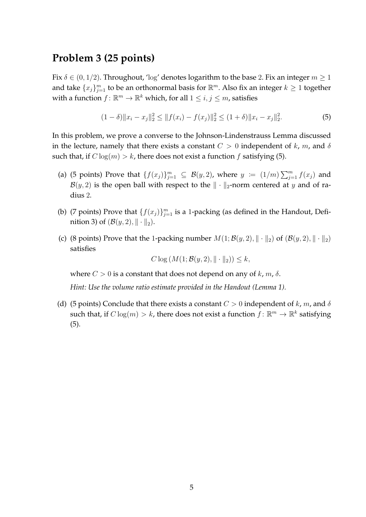## **Problem 3 (25 points)**

Fix  $\delta \in (0, 1/2)$ . Throughout, 'log' denotes logarithm to the base 2. Fix an integer  $m \ge 1$ and take  $\{x_j\}_{j=1}^m$  to be an orthonormal basis for  $\mathbb{R}^m$ . Also fix an integer  $k\geq 1$  together with a function  $f: \mathbb{R}^m \to \mathbb{R}^k$  which, for all  $1 \leq i,j \leq m$ , satisfies

$$
(1 - \delta) \|x_i - x_j\|_2^2 \le \|f(x_i) - f(x_j)\|_2^2 \le (1 + \delta) \|x_i - x_j\|_2^2. \tag{5}
$$

In this problem, we prove a converse to the Johnson-Lindenstrauss Lemma discussed in the lecture, namely that there exists a constant  $C > 0$  independent of k, m, and  $\delta$ such that, if  $C \log(m) > k$ , there does not exist a function f satisfying (5).

- (a) (5 points) Prove that  $\{f(x_j)\}_{j=1}^m \subseteq \mathcal{B}(y, 2)$ , where  $y := (1/m) \sum_{j=1}^m f(x_j)$  and  $\mathcal{B}(y, 2)$  is the open ball with respect to the  $\|\cdot\|_2$ -norm centered at y and of radius 2.
- (b) (7 points) Prove that  $\{f(x_j)\}_{j=1}^m$  is a 1-packing (as defined in the Handout, Definition 3) of  $(\mathcal{B}(y, 2), || \cdot ||_2)$ .
- (c) (8 points) Prove that the 1-packing number  $M(1; \mathcal{B}(y, 2), \|\cdot\|_2)$  of  $(\mathcal{B}(y, 2), \|\cdot\|_2)$ satisfies

 $C \log (M(1; \mathcal{B}(y, 2), \| \cdot \|_2)) \leq k,$ 

where  $C > 0$  is a constant that does not depend on any of  $k, m, \delta$ .

*Hint: Use the volume ratio estimate provided in the Handout (Lemma 1).*

(d) (5 points) Conclude that there exists a constant  $C > 0$  independent of k, m, and  $\delta$ such that, if  $C \log(m) > k$ , there does not exist a function  $f: \mathbb{R}^m \to \mathbb{R}^k$  satisfying (5).